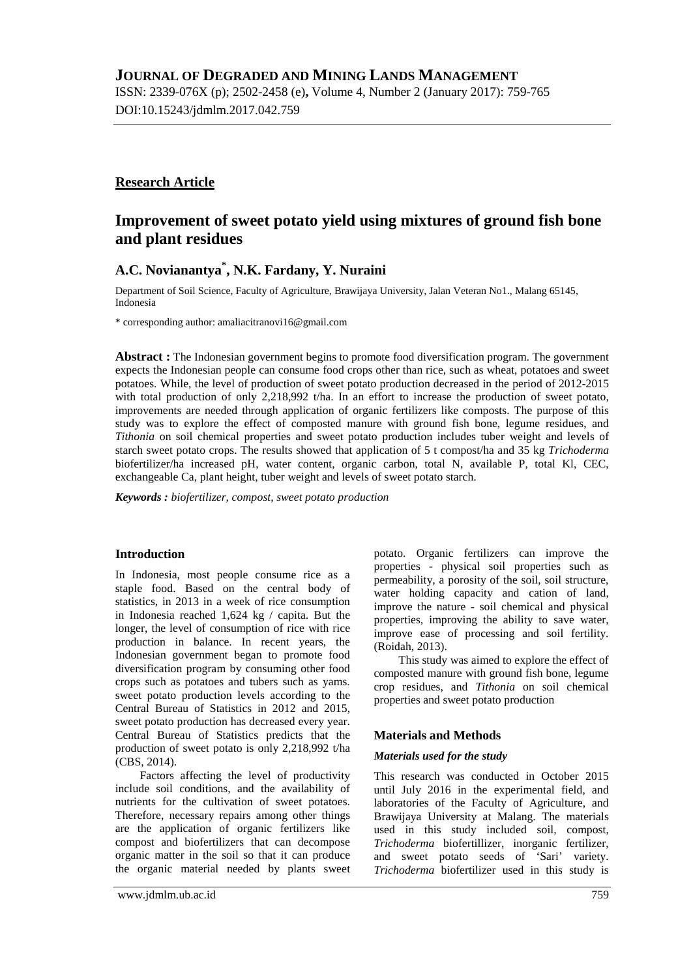ISSN: 2339-076X (p); 2502-2458 (e)**,** Volume 4, Number 2 (January 2017): 759-765 DOI:10.15243/jdmlm.2017.042.759

# **Research Article**

# **Improvement of sweet potato yield using mixtures of ground fish bone and plant residues**

# **A.C. Novianantya\* , N.K. Fardany, Y. Nuraini**

Department of Soil Science, Faculty of Agriculture, Brawijaya University, Jalan Veteran No1., Malang 65145, Indonesia

\* corresponding author: [amaliacitranovi16@gmail.com](mailto:amaliacitranovi16@gmail.com)

**Abstract :** The Indonesian government begins to promote food diversification program. The government expects the Indonesian people can consume food crops other than rice, such as wheat, potatoes and sweet potatoes. While, the level of production of sweet potato production decreased in the period of 2012-2015 with total production of only 2,218,992 t/ha. In an effort to increase the production of sweet potato, improvements are needed through application of organic fertilizers like composts. The purpose of this study was to explore the effect of composted manure with ground fish bone, legume residues, and *Tithonia* on soil chemical properties and sweet potato production includes tuber weight and levels of starch sweet potato crops. The results showed that application of 5 t compost/ha and 35 kg *Trichoderma* biofertilizer/ha increased pH, water content, organic carbon, total N, available P, total Kl, CEC, exchangeable Ca, plant height, tuber weight and levels of sweet potato starch.

*Keywords : biofertilizer, compost, sweet potato production*

## **Introduction**

In Indonesia, most people consume rice as a staple food. Based on the central body of statistics, in 2013 in a week of rice consumption in Indonesia reached 1,624 kg / capita. But the longer, the level of consumption of rice with rice production in balance. In recent years, the Indonesian government began to promote food diversification program by consuming other food crops such as potatoes and tubers such as yams. sweet potato production levels according to the Central Bureau of Statistics in 2012 and 2015, sweet potato production has decreased every year. Central Bureau of Statistics predicts that the production of sweet potato is only 2,218,992 t/ha (CBS, 2014).

Factors affecting the level of productivity include soil conditions, and the availability of nutrients for the cultivation of sweet potatoes. Therefore, necessary repairs among other things are the application of organic fertilizers like compost and biofertilizers that can decompose organic matter in the soil so that it can produce the organic material needed by plants sweet potato. Organic fertilizers can improve the properties - physical soil properties such as permeability, a porosity of the soil, soil structure, water holding capacity and cation of land, improve the nature - soil chemical and physical properties, improving the ability to save water, improve ease of processing and soil fertility. (Roidah, 2013).

This study was aimed to explore the effect of composted manure with ground fish bone, legume crop residues, and *Tithonia* on soil chemical properties and sweet potato production

## **Materials and Methods**

### *Materials used for the study*

This research was conducted in October 2015 until July 2016 in the experimental field, and laboratories of the Faculty of Agriculture, and Brawijaya University at Malang. The materials used in this study included soil, compost, *Trichoderma* biofertillizer, inorganic fertilizer, and sweet potato seeds of 'Sari' variety. *Trichoderma* biofertilizer used in this study is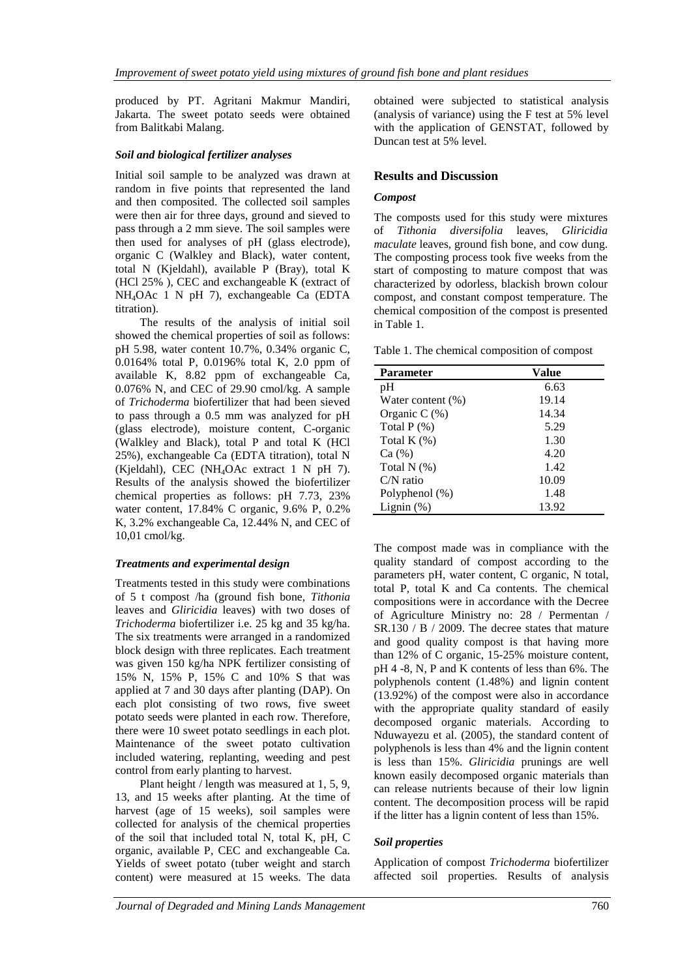produced by PT. Agritani Makmur Mandiri, Jakarta. The sweet potato seeds were obtained from Balitkabi Malang.

### *Soil and biological fertilizer analyses*

Initial soil sample to be analyzed was drawn at random in five points that represented the land and then composited. The collected soil samples were then air for three days, ground and sieved to pass through a 2 mm sieve. The soil samples were then used for analyses of pH (glass electrode), organic C (Walkley and Black), water content, total N (Kjeldahl), available P (Bray), total K (HCl 25% ), CEC and exchangeable K (extract of NH4OAc 1 N pH 7), exchangeable Ca (EDTA titration).

The results of the analysis of initial soil showed the chemical properties of soil as follows: pH 5.98, water content 10.7%, 0.34% organic C, 0.0164% total P, 0.0196% total K, 2.0 ppm of available K, 8.82 ppm of exchangeable Ca, 0.076% N, and CEC of 29.90 cmol/kg. A sample of *Trichoderma* biofertilizer that had been sieved to pass through a 0.5 mm was analyzed for pH (glass electrode), moisture content, C-organic (Walkley and Black), total P and total K (HCl 25%), exchangeable Ca (EDTA titration), total N (Kjeldahl), CEC (NH4OAc extract 1 N pH 7). Results of the analysis showed the biofertilizer chemical properties as follows: pH 7.73, 23% water content, 17.84% C organic, 9.6% P, 0.2% K, 3.2% exchangeable Ca, 12.44% N, and CEC of 10,01 cmol/kg.

## *Treatments and experimental design*

Treatments tested in this study were combinations of 5 t compost /ha (ground fish bone, *Tithonia* leaves and *Gliricidia* leaves) with two doses of *Trichoderma* biofertilizer i.e. 25 kg and 35 kg/ha. The six treatments were arranged in a randomized block design with three replicates. Each treatment was given 150 kg/ha NPK fertilizer consisting of 15% N, 15% P, 15% C and 10% S that was applied at 7 and 30 days after planting (DAP). On each plot consisting of two rows, five sweet potato seeds were planted in each row. Therefore, there were 10 sweet potato seedlings in each plot. Maintenance of the sweet potato cultivation included watering, replanting, weeding and pest control from early planting to harvest.

Plant height / length was measured at 1, 5, 9, 13, and 15 weeks after planting. At the time of harvest (age of 15 weeks), soil samples were collected for analysis of the chemical properties of the soil that included total N, total K, pH, C organic, available P, CEC and exchangeable Ca. Yields of sweet potato (tuber weight and starch content) were measured at 15 weeks. The data obtained were subjected to statistical analysis (analysis of variance) using the F test at 5% level with the application of GENSTAT, followed by Duncan test at 5% level.

### **Results and Discussion**

### *Compost*

The composts used for this study were mixtures of *Tithonia diversifolia* leaves, *Gliricidia maculate* leaves, ground fish bone, and cow dung. The composting process took five weeks from the start of composting to mature compost that was characterized by odorless, blackish brown colour compost, and constant compost temperature. The chemical composition of the compost is presented in Table 1.

Table 1. The chemical composition of compost

| <b>Parameter</b>     | Value |
|----------------------|-------|
| pH                   | 6.63  |
| Water content $(\%)$ | 19.14 |
| Organic $C(\%)$      | 14.34 |
| Total $P$ $(\%)$     | 5.29  |
| Total $K(\%)$        | 1.30  |
| Ca (%)               | 4.20  |
| Total $N$ $(\%)$     | 1.42  |
| $C/N$ ratio          | 10.09 |
| Polyphenol $(\%)$    | 1.48  |
| Lignin $(\%)$        | 13.92 |

The compost made was in compliance with the quality standard of compost according to the parameters pH, water content, C organic, N total, total P, total K and Ca contents. The chemical compositions were in accordance with the Decree of Agriculture Ministry no: 28 / Permentan / SR.130 / B / 2009. The decree states that mature and good quality compost is that having more than 12% of C organic, 15-25% moisture content, pH 4 -8, N, P and K contents of less than 6%. The polyphenols content (1.48%) and lignin content (13.92%) of the compost were also in accordance with the appropriate quality standard of easily decomposed organic materials. According to Nduwayezu et al. (2005), the standard content of polyphenols is less than 4% and the lignin content is less than 15%. *Gliricidia* prunings are well known easily decomposed organic materials than can release nutrients because of their low lignin content. The decomposition process will be rapid if the litter has a lignin content of less than 15%.

## *Soil properties*

Application of compost *Trichoderma* biofertilizer affected soil properties. Results of analysis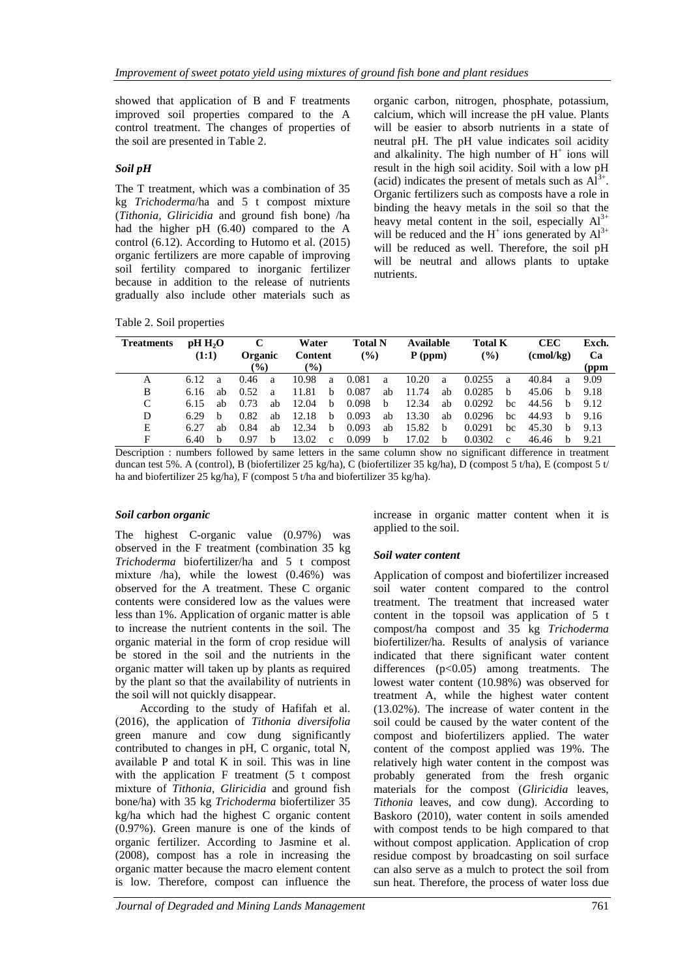showed that application of B and F treatments improved soil properties compared to the A control treatment. The changes of properties of the soil are presented in Table 2.

## *Soil pH*

The T treatment, which was a combination of 35 kg *Trichoderma*/ha and 5 t compost mixture (*Tithonia, Gliricidia* and ground fish bone) /ha had the higher pH (6.40) compared to the A control (6.12). According to Hutomo et al. (2015) organic fertilizers are more capable of improving soil fertility compared to inorganic fertilizer because in addition to the release of nutrients gradually also include other materials such as organic carbon, nitrogen, phosphate, potassium, calcium, which will increase the pH value. Plants will be easier to absorb nutrients in a state of neutral pH. The pH value indicates soil acidity and alkalinity. The high number of  $H^+$  ions will result in the high soil acidity. Soil with a low pH (acid) indicates the present of metals such as  $Al^{3+}$ . Organic fertilizers such as composts have a role in binding the heavy metals in the soil so that the heavy metal content in the soil, especially  $Al^{3+}$ will be reduced and the  $H^+$  ions generated by  $Al^{3+}$ will be reduced as well. Therefore, the soil pH will be neutral and allows plants to uptake nutrients.

Table 2. Soil properties

| <b>Treatments</b> | pH H <sub>2</sub> O |    |                 |    | Water            |              | <b>Total N</b> |    | Available |    | <b>Total K</b> |    | <b>CEC</b> |              | Exch.              |  |    |
|-------------------|---------------------|----|-----------------|----|------------------|--------------|----------------|----|-----------|----|----------------|----|------------|--------------|--------------------|--|----|
|                   | (1:1)               |    |                 |    | Organic          |              | Content        |    | (%)       |    | $P$ (ppm)      |    | (%)        |              | $\text{(cmol/kg)}$ |  | Ca |
|                   |                     |    | $\mathcal{O}_0$ |    | $\mathcal{O}(6)$ |              |                |    |           |    |                |    |            |              | (ppm               |  |    |
| A                 | 6.12                | a  | 0.46            | a  | 10.98            | a            | 0.081          | a  | 10.20     | a  | 0.0255         | a  | 40.84      | a            | 9.09               |  |    |
| B                 | 6.16                | ab | 0.52            | a  | 11.81            | b            | 0.087          | ab | 11.74     | ab | 0.0285         | b  | 45.06      | <sub>b</sub> | 9.18               |  |    |
| C                 | 6.15                | аh | 0.73            | ab | 12.04            | b            | 0.098          | b  | 12.34     | ab | 0.0292         | bc | 44.56      | <sub>h</sub> | 9.12               |  |    |
| D                 | 6.29                | h  | 0.82            | ab | 12.18            | b            | 0.093          | ab | 13.30     | ab | 0.0296         | bc | 44.93      | b            | 9.16               |  |    |
| Е                 | 6.27                | аh | 0.84            | ab | 12.34            | b            | 0.093          | ab | 15.82     | b  | 0.0291         | bc | 45.30      | b            | 9.13               |  |    |
| F                 | 6.40                | h  | 0.97            | h  | 13.02            | $\mathbf{c}$ | 0.099          | b  | 17.02     | b  | 0.0302         | C  | 46.46      | b            | 9.21               |  |    |

Description : numbers followed by same letters in the same column show no significant difference in treatment duncan test 5%. A (control), B (biofertilizer 25 kg/ha), C (biofertilizer 35 kg/ha), D (compost 5 t/ha), E (compost 5 t/ ha and biofertilizer 25 kg/ha), F (compost 5 t/ha and biofertilizer 35 kg/ha).

## *Soil carbon organic*

The highest C-organic value (0.97%) was observed in the F treatment (combination 35 kg *Trichoderma* biofertilizer/ha and 5 t compost mixture /ha), while the lowest (0.46%) was observed for the A treatment. These C organic contents were considered low as the values were less than 1%. Application of organic matter is able to increase the nutrient contents in the soil. The organic material in the form of crop residue will be stored in the soil and the nutrients in the organic matter will taken up by plants as required by the plant so that the availability of nutrients in the soil will not quickly disappear.

According to the study of Hafifah et al. (2016), the application of *Tithonia diversifolia* green manure and cow dung significantly contributed to changes in pH, C organic, total N. available P and total K in soil. This was in line with the application F treatment (5 t compost mixture of *Tithonia*, *Gliricidia* and ground fish bone/ha) with 35 kg *Trichoderma* biofertilizer 35 kg/ha which had the highest C organic content (0.97%). Green manure is one of the kinds of organic fertilizer. According to Jasmine et al. (2008), compost has a role in increasing the organic matter because the macro element content is low. Therefore, compost can influence the

increase in organic matter content when it is applied to the soil.

# *Soil water content*

Application of compost and biofertilizer increased soil water content compared to the control treatment. The treatment that increased water content in the topsoil was application of 5 t compost/ha compost and 35 kg *Trichoderma* biofertilizer/ha. Results of analysis of variance indicated that there significant water content differences  $(p<0.05)$  among treatments. The lowest water content (10.98%) was observed for treatment A, while the highest water content (13.02%). The increase of water content in the soil could be caused by the water content of the compost and biofertilizers applied. The water content of the compost applied was 19%. The relatively high water content in the compost was probably generated from the fresh organic materials for the compost (*Gliricidia* leaves, *Tithonia* leaves, and cow dung). According to Baskoro (2010), water content in soils amended with compost tends to be high compared to that without compost application. Application of crop residue compost by broadcasting on soil surface can also serve as a mulch to protect the soil from sun heat. Therefore, the process of water loss due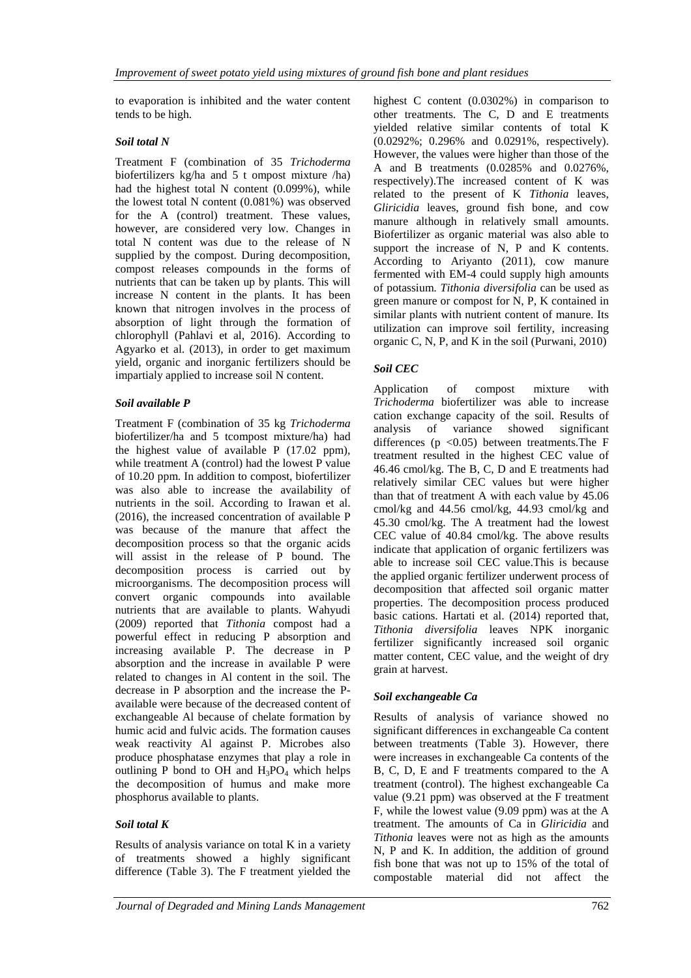to evaporation is inhibited and the water content tends to be high.

### *Soil total N*

Treatment F (combination of 35 *Trichoderma* biofertilizers kg/ha and 5 t ompost mixture /ha) had the highest total N content (0.099%), while the lowest total N content (0.081%) was observed for the A (control) treatment. These values, however, are considered very low. Changes in total N content was due to the release of N supplied by the compost. During decomposition, compost releases compounds in the forms of nutrients that can be taken up by plants. This will increase N content in the plants. It has been known that nitrogen involves in the process of absorption of light through the formation of chlorophyll (Pahlavi et al, 2016). According to Agyarko et al. (2013), in order to get maximum yield, organic and inorganic fertilizers should be impartialy applied to increase soil N content.

## *Soil available P*

Treatment F (combination of 35 kg *Trichoderma* biofertilizer/ha and 5 tcompost mixture/ha) had the highest value of available P (17.02 ppm), while treatment A (control) had the lowest P value of 10.20 ppm. In addition to compost, biofertilizer was also able to increase the availability of nutrients in the soil. According to Irawan et al. (2016), the increased concentration of available P was because of the manure that affect the decomposition process so that the organic acids will assist in the release of P bound. The decomposition process is carried out by microorganisms. The decomposition process will convert organic compounds into available nutrients that are available to plants. Wahyudi (2009) reported that *Tithonia* compost had a powerful effect in reducing P absorption and increasing available P. The decrease in P absorption and the increase in available P were related to changes in Al content in the soil. The decrease in P absorption and the increase the Pavailable were because of the decreased content of exchangeable Al because of chelate formation by humic acid and fulvic acids. The formation causes weak reactivity Al against P. Microbes also produce phosphatase enzymes that play a role in outlining P bond to OH and  $H_3PO_4$  which helps the decomposition of humus and make more phosphorus available to plants.

# *Soil total K*

Results of analysis variance on total K in a variety of treatments showed a highly significant difference (Table 3). The F treatment yielded the

highest C content (0.0302%) in comparison to other treatments. The C, D and E treatments yielded relative similar contents of total K (0.0292%; 0.296% and 0.0291%, respectively). However, the values were higher than those of the A and B treatments (0.0285% and 0.0276%, respectively).The increased content of K was related to the present of K *Tithonia* leaves, *Gliricidia* leaves, ground fish bone, and cow manure although in relatively small amounts. Biofertilizer as organic material was also able to support the increase of N, P and K contents. According to Ariyanto (2011), cow manure fermented with EM-4 could supply high amounts of potassium. *Tithonia diversifolia* can be used as green manure or compost for N, P, K contained in similar plants with nutrient content of manure. Its utilization can improve soil fertility, increasing organic C, N, P, and K in the soil (Purwani, 2010)

# *Soil CEC*

Application of compost mixture with *Trichoderma* biofertilizer was able to increase cation exchange capacity of the soil. Results of analysis of variance showed significant differences ( $p \le 0.05$ ) between treatments. The F treatment resulted in the highest CEC value of 46.46 cmol/kg. The B, C, D and E treatments had relatively similar CEC values but were higher than that of treatment A with each value by 45.06 cmol/kg and 44.56 cmol/kg, 44.93 cmol/kg and 45.30 cmol/kg. The A treatment had the lowest CEC value of 40.84 cmol/kg. The above results indicate that application of organic fertilizers was able to increase soil CEC value.This is because the applied organic fertilizer underwent process of decomposition that affected soil organic matter properties. The decomposition process produced basic cations. Hartati et al. (2014) reported that, *Tithonia diversifolia* leaves NPK inorganic fertilizer significantly increased soil organic matter content, CEC value, and the weight of dry grain at harvest.

# *Soil exchangeable Ca*

Results of analysis of variance showed no significant differences in exchangeable Ca content between treatments (Table 3). However, there were increases in exchangeable Ca contents of the B, C, D, E and F treatments compared to the A treatment (control). The highest exchangeable Ca value (9.21 ppm) was observed at the F treatment F, while the lowest value (9.09 ppm) was at the A treatment. The amounts of Ca in *Gliricidia* and *Tithonia* leaves were not as high as the amounts N, P and K. In addition, the addition of ground fish bone that was not up to 15% of the total of compostable material did not affect the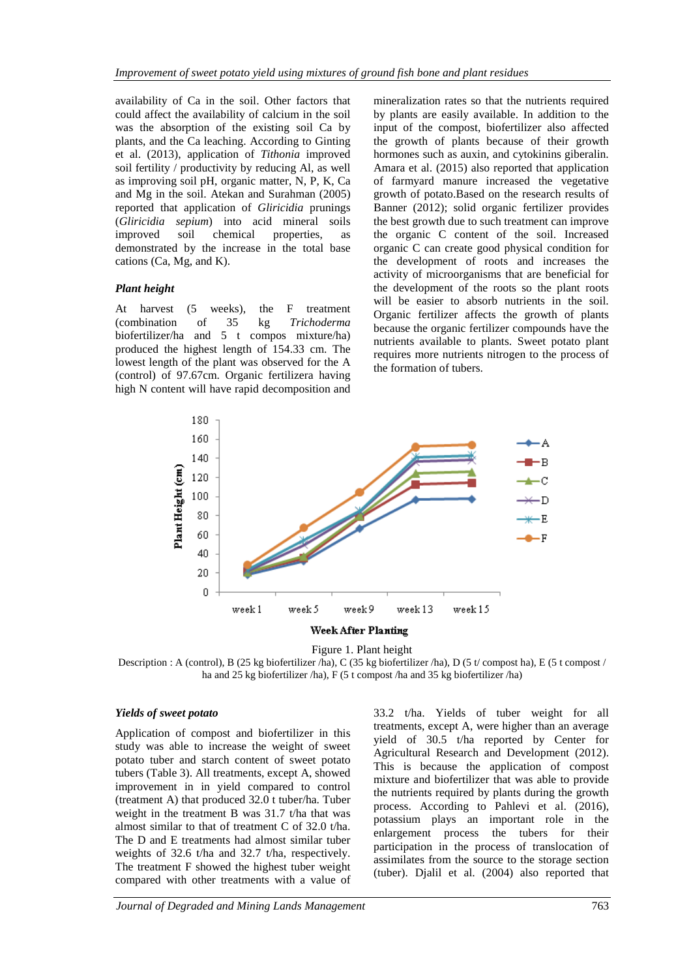availability of Ca in the soil. Other factors that could affect the availability of calcium in the soil was the absorption of the existing soil Ca by plants, and the Ca leaching. According to Ginting et al. (2013), application of *Tithonia* improved soil fertility / productivity by reducing Al, as well as improving soil pH, organic matter, N, P, K, Ca and Mg in the soil. Atekan and Surahman (2005) reported that application of *Gliricidia* prunings (*Gliricidia sepium*) into acid mineral soils improved soil chemical properties, as demonstrated by the increase in the total base cations (Ca, Mg, and K).

### *Plant height*

At harvest (5 weeks), the F treatment (combination of 35 kg *Trichoderma* biofertilizer/ha and 5 t compos mixture/ha) produced the highest length of 154.33 cm. The lowest length of the plant was observed for the A (control) of 97.67cm. Organic fertilizera having high N content will have rapid decomposition and mineralization rates so that the nutrients required by plants are easily available. In addition to the input of the compost, biofertilizer also affected the growth of plants because of their growth hormones such as auxin, and cytokinins giberalin. Amara et al. (2015) also reported that application of farmyard manure increased the vegetative growth of potato.Based on the research results of Banner (2012); solid organic fertilizer provides the best growth due to such treatment can improve the organic C content of the soil. Increased organic C can create good physical condition for the development of roots and increases the activity of microorganisms that are beneficial for the development of the roots so the plant roots will be easier to absorb nutrients in the soil. Organic fertilizer affects the growth of plants because the organic fertilizer compounds have the nutrients available to plants. Sweet potato plant requires more nutrients nitrogen to the process of the formation of tubers.



Figure 1. Plant height

Description : A (control), B (25 kg biofertilizer /ha), C (35 kg biofertilizer /ha), D (5 t/ compost ha), E (5 t compost / ha and 25 kg biofertilizer /ha), F (5 t compost /ha and 35 kg biofertilizer /ha)

### *Yields of sweet potato*

Application of compost and biofertilizer in this study was able to increase the weight of sweet potato tuber and starch content of sweet potato tubers (Table 3). All treatments, except A, showed improvement in in yield compared to control (treatment A) that produced 32.0 t tuber/ha. Tuber weight in the treatment B was 31.7 t/ha that was almost similar to that of treatment C of 32.0 t/ha. The D and E treatments had almost similar tuber weights of 32.6 t/ha and 32.7 t/ha, respectively. The treatment F showed the highest tuber weight compared with other treatments with a value of

33.2 t/ha. Yields of tuber weight for all treatments, except A, were higher than an average yield of 30.5 t/ha reported by Center for Agricultural Research and Development (2012). This is because the application of compost mixture and biofertilizer that was able to provide the nutrients required by plants during the growth process. According to Pahlevi et al. (2016), potassium plays an important role in the enlargement process the tubers for their participation in the process of translocation of assimilates from the source to the storage section (tuber). Djalil et al. (2004) also reported that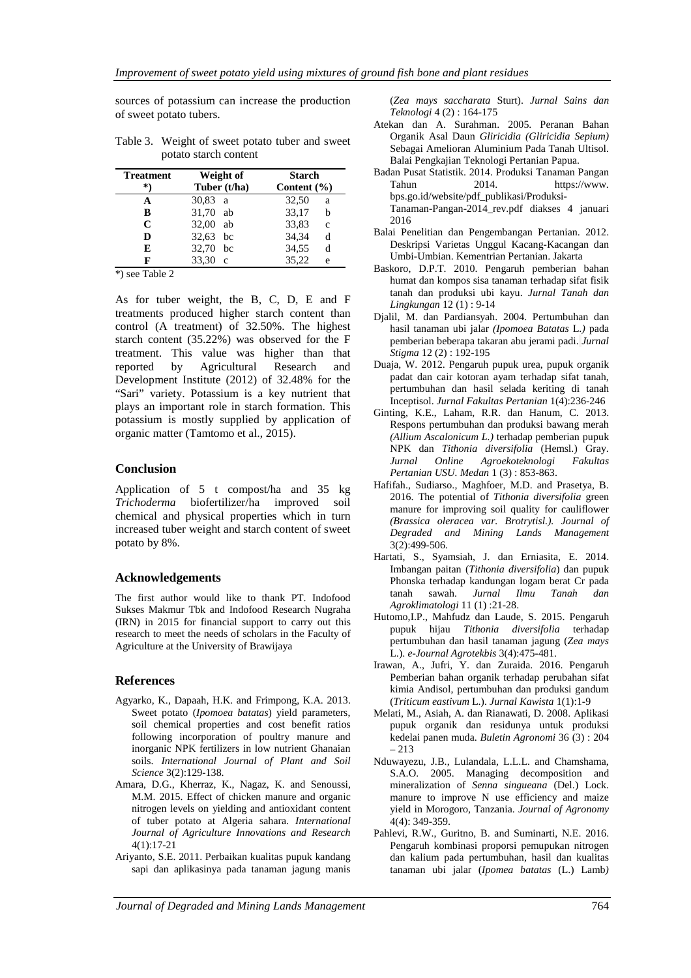sources of potassium can increase the production of sweet potato tubers.

| <b>Treatment</b> | Weight of             | <b>Starch</b>          |  |  |  |  |  |
|------------------|-----------------------|------------------------|--|--|--|--|--|
| *)               | Tuber (t/ha)          | Content $(\% )$        |  |  |  |  |  |
|                  | $30,83$ a             | 32,50<br>a             |  |  |  |  |  |
| B                | 31,70 ab              | 33,17<br>h             |  |  |  |  |  |
| C                | 32,00 ab              | 33,83<br>$\mathcal{C}$ |  |  |  |  |  |
| D                | 32,63 bc              | 34.34<br>d             |  |  |  |  |  |
| E                | 32,70<br>hc           | 34,55<br>d             |  |  |  |  |  |
|                  | 33,30<br>$\mathbf{c}$ | 35,22<br>e             |  |  |  |  |  |

Table 3. Weight of sweet potato tuber and sweet potato starch content

\*) see Table 2

As for tuber weight, the B, C, D, E and F treatments produced higher starch content than control (A treatment) of 32.50%. The highest starch content (35.22%) was observed for the F treatment. This value was higher than that reported by Agricultural Research and Development Institute (2012) of 32.48% for the "Sari" variety. Potassium is a key nutrient that plays an important role in starch formation. This potassium is mostly supplied by application of organic matter (Tamtomo et al., 2015).

#### **Conclusion**

Application of 5 t compost/ha and 35 kg *Trichoderma* biofertilizer/ha improved soil chemical and physical properties which in turn increased tuber weight and starch content of sweet potato by 8%.

### **Acknowledgements**

The first author would like to thank PT. Indofood Sukses Makmur Tbk and Indofood Research Nugraha (IRN) in 2015 for financial support to carry out this research to meet the needs of scholars in the Faculty of Agriculture at the University of Brawijaya

### **References**

- Agyarko, K., Dapaah, H.K. and Frimpong, K.A. 2013. Sweet potato (*Ipomoea batatas*) yield parameters, soil chemical properties and cost benefit ratios following incorporation of poultry manure and inorganic NPK fertilizers in low nutrient Ghanaian soils. *International Journal of Plant and Soil Science* 3(2):129-138.
- Amara, D.G., Kherraz, K., Nagaz, K. and Senoussi, M.M. 2015. Effect of chicken manure and organic nitrogen levels on yielding and antioxidant content of tuber potato at Algeria sahara. *International Journal of Agriculture Innovations and Research* 4(1):17-21
- Ariyanto, S.E. 2011. Perbaikan kualitas pupuk kandang sapi dan aplikasinya pada tanaman jagung manis

(*Zea mays saccharata* Sturt). *Jurnal Sains dan Teknologi* 4 (2) : 164-175

- Atekan dan A. Surahman. 2005. Peranan Bahan Organik Asal Daun *Gliricidia (Gliricidia Sepium)* Sebagai Amelioran Aluminium Pada Tanah Ultisol. Balai Pengkajian Teknologi Pertanian Papua.
- Badan Pusat Statistik. 2014. Produksi Tanaman Pangan Tahun 2014. https://www. bps.go.id/website/pdf\_publikasi/Produksi-Tanaman-Pangan-2014\_rev.pdf diakses 4 januari 2016
- Balai Penelitian dan Pengembangan Pertanian. 2012. Deskripsi Varietas Unggul Kacang-Kacangan dan Umbi-Umbian. Kementrian Pertanian. Jakarta
- Baskoro, D.P.T. 2010. Pengaruh pemberian bahan humat dan kompos sisa tanaman terhadap sifat fisik tanah dan produksi ubi kayu. *Jurnal Tanah dan Lingkungan* 12 (1) : 9-14
- Djalil, M. dan Pardiansyah. 2004. Pertumbuhan dan hasil tanaman ubi jalar *(Ipomoea Batatas* L.*)* pada pemberian beberapa takaran abu jerami padi. *Jurnal Stigma* 12 (2) : 192-195
- Duaja, W. 2012. Pengaruh pupuk urea, pupuk organik padat dan cair kotoran ayam terhadap sifat tanah, pertumbuhan dan hasil selada keriting di tanah Inceptisol. *Jurnal Fakultas Pertanian* 1(4):236-246
- Ginting, K.E., Laham, R.R. dan Hanum, C. 2013. Respons pertumbuhan dan produksi bawang merah *(Allium Ascalonicum L.)* terhadap pemberian pupuk NPK dan *Tithonia diversifolia* (Hemsl.) Gray. *Jurnal Online Agroekoteknologi Fakultas Pertanian USU. Medan* 1 (3) : 853-863.
- Hafifah., Sudiarso., Maghfoer, M.D. and Prasetya, B. 2016. The potential of *Tithonia diversifolia* green manure for improving soil quality for cauliflower *(Brassica oleracea var. Brotrytisl.). Journal of Degraded and Mining Lands Management* 3(2):499-506.
- Hartati, S., Syamsiah, J. dan Erniasita, E. 2014. Imbangan paitan (*Tithonia diversifolia*) dan pupuk Phonska terhadap kandungan logam berat Cr pada tanah sawah. *Jurnal Ilmu Tanah dan Agroklimatologi* 11 (1) :21-28.
- Hutomo,I.P., Mahfudz dan Laude, S. 2015. Pengaruh pupuk hijau *Tithonia diversifolia* terhadap pertumbuhan dan hasil tanaman jagung (*Zea mays* L.). *e-Journal Agrotekbis* 3(4):475-481.
- Irawan, A., Jufri, Y. dan Zuraida. 2016. Pengaruh Pemberian bahan organik terhadap perubahan sifat kimia Andisol, pertumbuhan dan produksi gandum (*Triticum eastivum* L.). *Jurnal Kawista* 1(1):1-9
- Melati, M., Asiah, A. dan Rianawati, D. 2008. Aplikasi pupuk organik dan residunya untuk produksi kedelai panen muda. *Buletin Agronomi* 36 (3) : 204 – 213
- Nduwayezu, J.B., Lulandala, L.L.L. and Chamshama, S.A.O. 2005. Managing decomposition and mineralization of *Senna singueana* (Del.) Lock. manure to improve N use efficiency and maize yield in Morogoro, Tanzania. *Journal of Agronomy* 4(4): 349-359.
- Pahlevi, R.W., Guritno, B. and Suminarti, N.E. 2016. Pengaruh kombinasi proporsi pemupukan nitrogen dan kalium pada pertumbuhan, hasil dan kualitas tanaman ubi jalar (*Ipomea batatas* (L.) Lamb*)*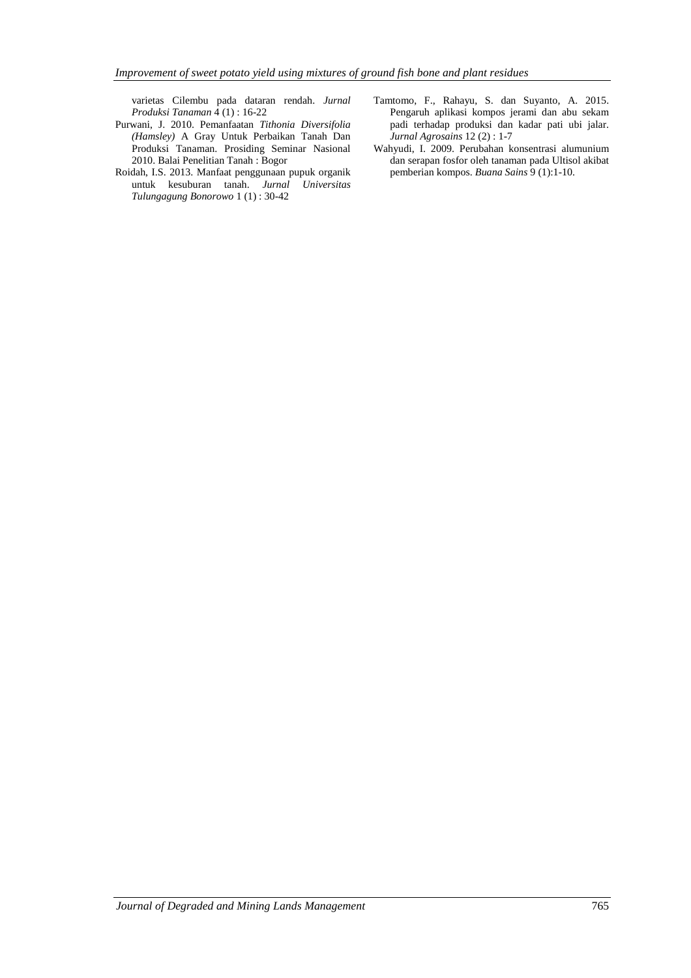varietas Cilembu pada dataran rendah. *Jurnal Produksi Tanaman* 4 (1) : 16-22

- Purwani, J. 2010. Pemanfaatan *Tithonia Diversifolia (Hamsley)* A Gray Untuk Perbaikan Tanah Dan Produksi Tanaman. Prosiding Seminar Nasional 2010. Balai Penelitian Tanah : Bogor
- Roidah, I.S. 2013. Manfaat penggunaan pupuk organik untuk kesuburan tanah. *Jurnal Universitas Tulungagung Bonorowo* 1 (1) : 30-42
- Tamtomo, F., Rahayu, S. dan Suyanto, A. 2015. Pengaruh aplikasi kompos jerami dan abu sekam padi terhadap produksi dan kadar pati ubi jalar. *Jurnal Agrosains* 12 (2) : 1-7
- Wahyudi, I. 2009. Perubahan konsentrasi alumunium dan serapan fosfor oleh tanaman pada Ultisol akibat pemberian kompos. *Buana Sains* 9 (1):1-10.